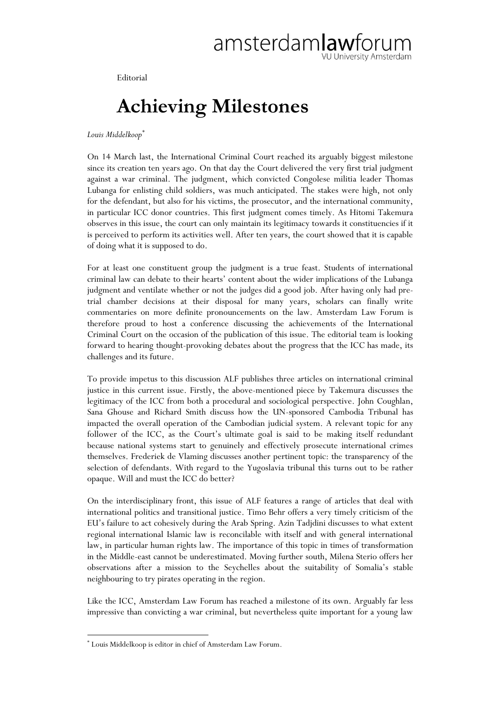Editorial

## **Achieving Milestones**

*Louis Middelkoop\**

On 14 March last, the International Criminal Court reached its arguably biggest milestone since its creation ten years ago. On that day the Court delivered the very first trial judgment against a war criminal. The judgment, which convicted Congolese militia leader Thomas Lubanga for enlisting child soldiers, was much anticipated. The stakes were high, not only for the defendant, but also for his victims, the prosecutor, and the international community, in particular ICC donor countries. This first judgment comes timely. As Hitomi Takemura observes in this issue, the court can only maintain its legitimacy towards it constituencies if it is perceived to perform its activities well. After ten years, the court showed that it is capable of doing what it is supposed to do.

For at least one constituent group the judgment is a true feast. Students of international criminal law can debate to their hearts' content about the wider implications of the Lubanga judgment and ventilate whether or not the judges did a good job. After having only had pretrial chamber decisions at their disposal for many years, scholars can finally write commentaries on more definite pronouncements on the law. Amsterdam Law Forum is therefore proud to host a conference discussing the achievements of the International Criminal Court on the occasion of the publication of this issue. The editorial team is looking forward to hearing thought-provoking debates about the progress that the ICC has made, its challenges and its future.

To provide impetus to this discussion ALF publishes three articles on international criminal justice in this current issue. Firstly, the above-mentioned piece by Takemura discusses the legitimacy of the ICC from both a procedural and sociological perspective. John Coughlan, Sana Ghouse and Richard Smith discuss how the UN-sponsored Cambodia Tribunal has impacted the overall operation of the Cambodian judicial system. A relevant topic for any follower of the ICC, as the Court's ultimate goal is said to be making itself redundant because national systems start to genuinely and effectively prosecute international crimes themselves. Frederiek de Vlaming discusses another pertinent topic: the transparency of the selection of defendants. With regard to the Yugoslavia tribunal this turns out to be rather opaque. Will and must the ICC do better?

On the interdisciplinary front, this issue of ALF features a range of articles that deal with international politics and transitional justice. Timo Behr offers a very timely criticism of the EU's failure to act cohesively during the Arab Spring. Azin Tadjdini discusses to what extent regional international Islamic law is reconcilable with itself and with general international law, in particular human rights law. The importance of this topic in times of transformation in the Middle-east cannot be underestimated. Moving further south, Milena Sterio offers her observations after a mission to the Seychelles about the suitability of Somalia's stable neighbouring to try pirates operating in the region.

Like the ICC, Amsterdam Law Forum has reached a milestone of its own. Arguably far less impressive than convicting a war criminal, but nevertheless quite important for a young law

 $\overline{a}$ 

<sup>\*</sup> Louis Middelkoop is editor in chief of Amsterdam Law Forum.